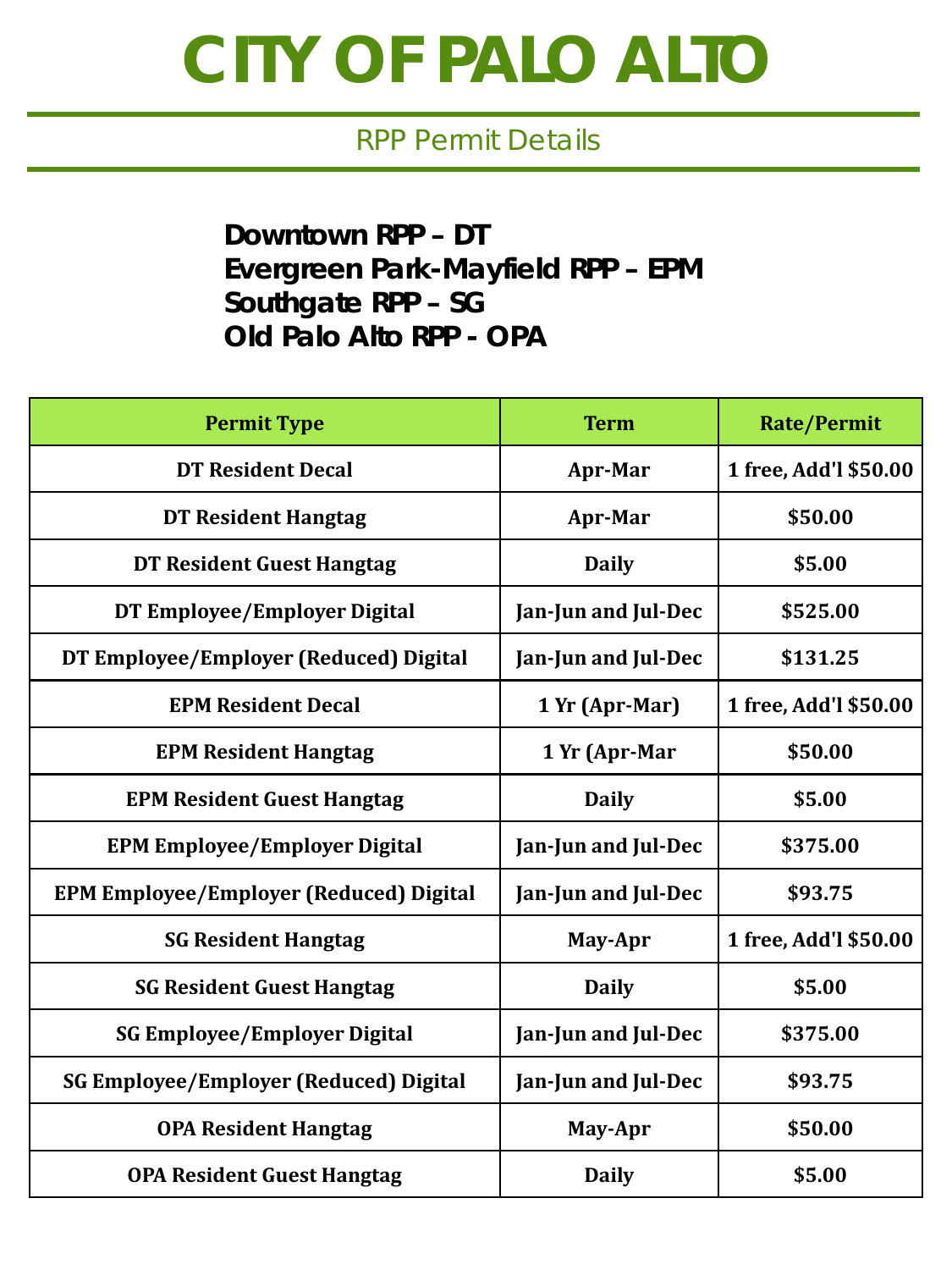## **CITY OF PALO ALTO**

## RPP Permit Details

**Downtown RPP – DT Evergreen Park-Mayfield RPP – EPM Southgate RPP – SG Old Palo Alto RPP - OPA**

| <b>Permit Type</b>                             | <b>Term</b>         | <b>Rate/Permit</b>    |
|------------------------------------------------|---------------------|-----------------------|
| <b>DT Resident Decal</b>                       | Apr-Mar             | 1 free, Add'l \$50.00 |
| <b>DT Resident Hangtag</b>                     | Apr-Mar             | \$50.00               |
| DT Resident Guest Hangtag                      | <b>Daily</b>        | \$5.00                |
| DT Employee/Employer Digital                   | Jan-Jun and Jul-Dec | \$525.00              |
| DT Employee/Employer (Reduced) Digital         | Jan-Jun and Jul-Dec | \$131.25              |
| <b>EPM Resident Decal</b>                      | 1 Yr (Apr-Mar)      | 1 free, Add'l \$50.00 |
| <b>EPM Resident Hangtag</b>                    | 1 Yr (Apr-Mar       | \$50.00               |
| <b>EPM Resident Guest Hangtag</b>              | <b>Daily</b>        | \$5.00                |
| <b>EPM Employee/Employer Digital</b>           | Jan-Jun and Jul-Dec | \$375.00              |
| <b>EPM Employee/Employer (Reduced) Digital</b> | Jan-Jun and Jul-Dec | \$93.75               |
| <b>SG Resident Hangtag</b>                     | May-Apr             | 1 free, Add'l \$50.00 |
| <b>SG Resident Guest Hangtag</b>               | <b>Daily</b>        | \$5.00                |
| <b>SG Employee/Employer Digital</b>            | Jan-Jun and Jul-Dec | \$375.00              |
| <b>SG Employee/Employer (Reduced) Digital</b>  | Jan-Jun and Jul-Dec | \$93.75               |
| <b>OPA Resident Hangtag</b>                    | May-Apr             | \$50.00               |
| <b>OPA Resident Guest Hangtag</b>              | <b>Daily</b>        | \$5.00                |